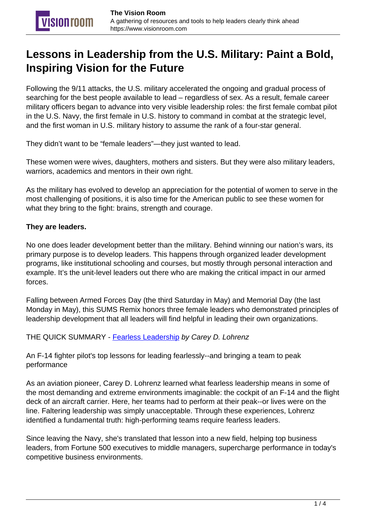# **Lessons in Leadership from the U.S. Military: Paint a Bold, Inspiring Vision for the Future**

Following the 9/11 attacks, the U.S. military accelerated the ongoing and gradual process of searching for the best people available to lead – regardless of sex. As a result, female career military officers began to advance into very visible leadership roles: the first female combat pilot in the U.S. Navy, the first female in U.S. history to command in combat at the strategic level, and the first woman in U.S. military history to assume the rank of a four-star general.

They didn't want to be "female leaders"—they just wanted to lead.

These women were wives, daughters, mothers and sisters. But they were also military leaders, warriors, academics and mentors in their own right.

As the military has evolved to develop an appreciation for the potential of women to serve in the most challenging of positions, it is also time for the American public to see these women for what they bring to the fight: brains, strength and courage.

# **They are leaders.**

No one does leader development better than the military. Behind winning our nation's wars, its primary purpose is to develop leaders. This happens through organized leader development programs, like institutional schooling and courses, but mostly through personal interaction and example. It's the unit-level leaders out there who are making the critical impact in our armed forces.

Falling between Armed Forces Day (the third Saturday in May) and Memorial Day (the last Monday in May), this SUMS Remix honors three female leaders who demonstrated principles of leadership development that all leaders will find helpful in leading their own organizations.

THE QUICK SUMMARY - [Fearless Leadership](https://amzn.to/2jpGflN) by Carey D. Lohrenz

An F-14 fighter pilot's top lessons for leading fearlessly--and bringing a team to peak performance

As an aviation pioneer, Carey D. Lohrenz learned what fearless leadership means in some of the most demanding and extreme environments imaginable: the cockpit of an F-14 and the flight deck of an aircraft carrier. Here, her teams had to perform at their peak--or lives were on the line. Faltering leadership was simply unacceptable. Through these experiences, Lohrenz identified a fundamental truth: high-performing teams require fearless leaders.

Since leaving the Navy, she's translated that lesson into a new field, helping top business leaders, from Fortune 500 executives to middle managers, supercharge performance in today's competitive business environments.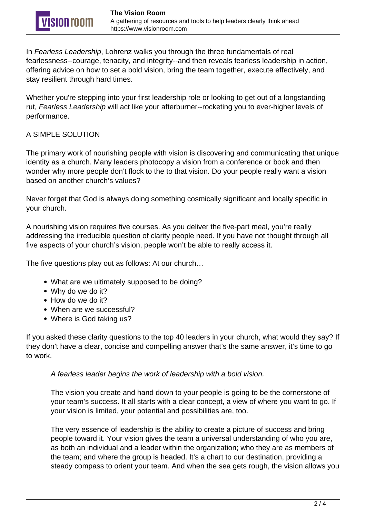In Fearless Leadership, Lohrenz walks you through the three fundamentals of real fearlessness--courage, tenacity, and integrity--and then reveals fearless leadership in action, offering advice on how to set a bold vision, bring the team together, execute effectively, and stay resilient through hard times.

Whether you're stepping into your first leadership role or looking to get out of a longstanding rut, Fearless Leadership will act like your afterburner--rocketing you to ever-higher levels of performance.

# A SIMPLE SOLUTION

The primary work of nourishing people with vision is discovering and communicating that unique identity as a church. Many leaders photocopy a vision from a conference or book and then wonder why more people don't flock to the to that vision. Do your people really want a vision based on another church's values?

Never forget that God is always doing something cosmically significant and locally specific in your church.

A nourishing vision requires five courses. As you deliver the five-part meal, you're really addressing the irreducible question of clarity people need. If you have not thought through all five aspects of your church's vision, people won't be able to really access it.

The five questions play out as follows: At our church…

- What are we ultimately supposed to be doing?
- Why do we do it?
- How do we do it?
- When are we successful?
- Where is God taking us?

If you asked these clarity questions to the top 40 leaders in your church, what would they say? If they don't have a clear, concise and compelling answer that's the same answer, it's time to go to work.

A fearless leader begins the work of leadership with a bold vision.

The vision you create and hand down to your people is going to be the cornerstone of your team's success. It all starts with a clear concept, a view of where you want to go. If your vision is limited, your potential and possibilities are, too.

The very essence of leadership is the ability to create a picture of success and bring people toward it. Your vision gives the team a universal understanding of who you are, as both an individual and a leader within the organization; who they are as members of the team; and where the group is headed. It's a chart to our destination, providing a steady compass to orient your team. And when the sea gets rough, the vision allows you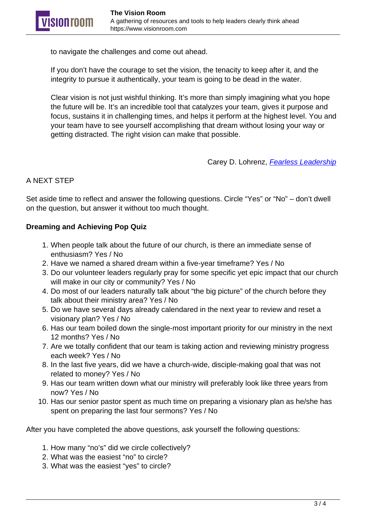to navigate the challenges and come out ahead.

If you don't have the courage to set the vision, the tenacity to keep after it, and the integrity to pursue it authentically, your team is going to be dead in the water.

Clear vision is not just wishful thinking. It's more than simply imagining what you hope the future will be. It's an incredible tool that catalyzes your team, gives it purpose and focus, sustains it in challenging times, and helps it perform at the highest level. You and your team have to see yourself accomplishing that dream without losing your way or getting distracted. The right vision can make that possible.

Carey D. Lohrenz, [Fearless Leadership](https://amzn.to/2jpGflN)

# A NEXT STEP

Set aside time to reflect and answer the following questions. Circle "Yes" or "No" – don't dwell on the question, but answer it without too much thought.

# **Dreaming and Achieving Pop Quiz**

- 1. When people talk about the future of our church, is there an immediate sense of enthusiasm? Yes / No
- 2. Have we named a shared dream within a five-year timeframe? Yes / No
- 3. Do our volunteer leaders regularly pray for some specific yet epic impact that our church will make in our city or community? Yes / No
- 4. Do most of our leaders naturally talk about "the big picture" of the church before they talk about their ministry area? Yes / No
- 5. Do we have several days already calendared in the next year to review and reset a visionary plan? Yes / No
- 6. Has our team boiled down the single-most important priority for our ministry in the next 12 months? Yes / No
- 7. Are we totally confident that our team is taking action and reviewing ministry progress each week? Yes / No
- 8. In the last five years, did we have a church-wide, disciple-making goal that was not related to money? Yes / No
- 9. Has our team written down what our ministry will preferably look like three years from now? Yes / No
- 10. Has our senior pastor spent as much time on preparing a visionary plan as he/she has spent on preparing the last four sermons? Yes / No

After you have completed the above questions, ask yourself the following questions:

- 1. How many "no's" did we circle collectively?
- 2. What was the easiest "no" to circle?
- 3. What was the easiest "yes" to circle?